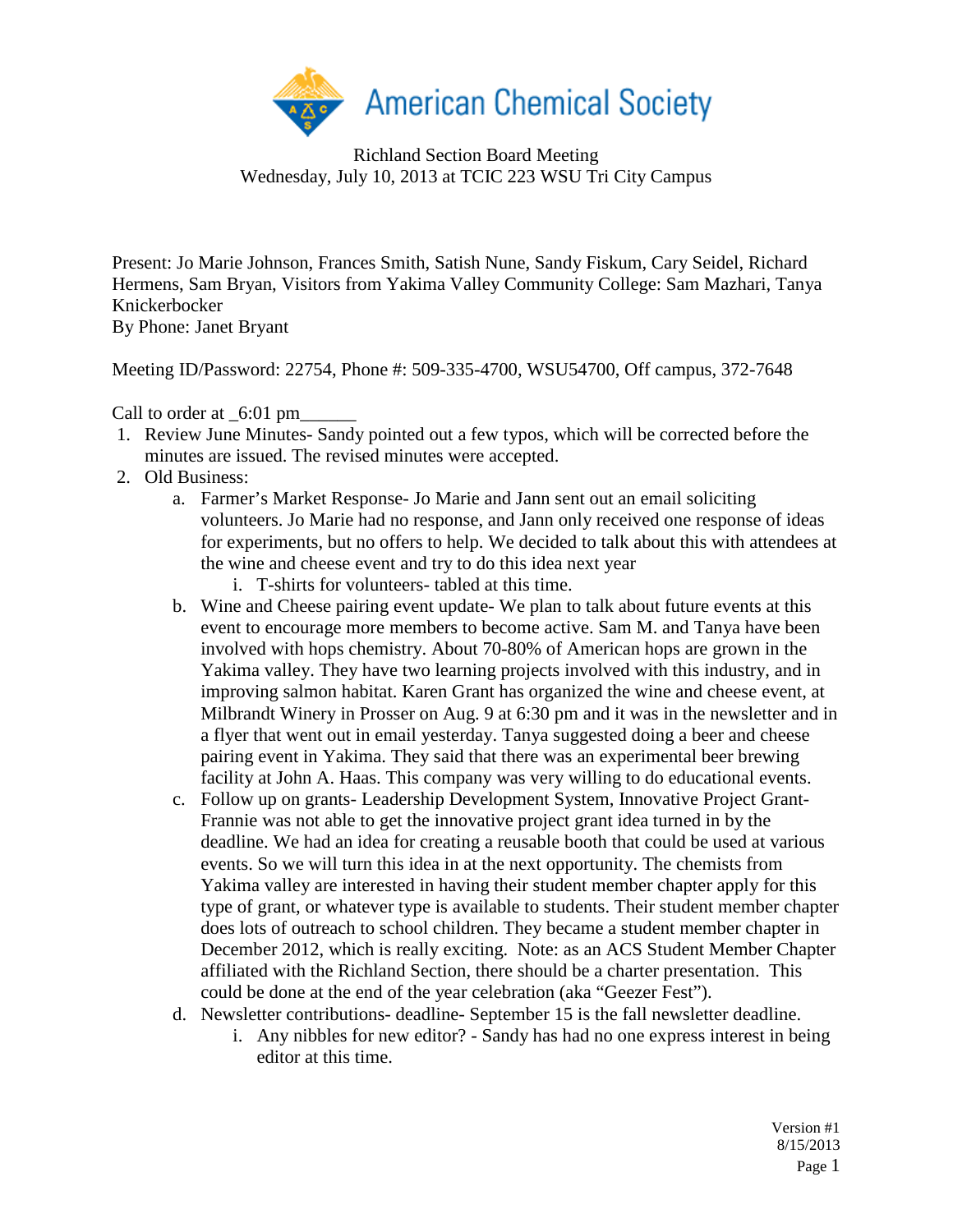

Richland Section Board Meeting Wednesday, July 10, 2013 at TCIC 223 WSU Tri City Campus

Present: Jo Marie Johnson, Frances Smith, Satish Nune, Sandy Fiskum, Cary Seidel, Richard Hermens, Sam Bryan, Visitors from Yakima Valley Community College: Sam Mazhari, Tanya Knickerbocker By Phone: Janet Bryant

Meeting ID/Password: 22754, Phone #: 509-335-4700, WSU54700, Off campus, 372-7648

Call to order at  $6:01 \text{ pm}$ 

- 1. Review June Minutes- Sandy pointed out a few typos, which will be corrected before the minutes are issued. The revised minutes were accepted.
- 2. Old Business:
	- a. Farmer's Market Response- Jo Marie and Jann sent out an email soliciting volunteers. Jo Marie had no response, and Jann only received one response of ideas for experiments, but no offers to help. We decided to talk about this with attendees at the wine and cheese event and try to do this idea next year
		- i. T-shirts for volunteers- tabled at this time.
	- b. Wine and Cheese pairing event update- We plan to talk about future events at this event to encourage more members to become active. Sam M. and Tanya have been involved with hops chemistry. About 70-80% of American hops are grown in the Yakima valley. They have two learning projects involved with this industry, and in improving salmon habitat. Karen Grant has organized the wine and cheese event, at Milbrandt Winery in Prosser on Aug. 9 at 6:30 pm and it was in the newsletter and in a flyer that went out in email yesterday. Tanya suggested doing a beer and cheese pairing event in Yakima. They said that there was an experimental beer brewing facility at John A. Haas. This company was very willing to do educational events.
	- c. Follow up on grants- Leadership Development System, Innovative Project Grant-Frannie was not able to get the innovative project grant idea turned in by the deadline. We had an idea for creating a reusable booth that could be used at various events. So we will turn this idea in at the next opportunity. The chemists from Yakima valley are interested in having their student member chapter apply for this type of grant, or whatever type is available to students. Their student member chapter does lots of outreach to school children. They became a student member chapter in December 2012, which is really exciting. Note: as an ACS Student Member Chapter affiliated with the Richland Section, there should be a charter presentation. This could be done at the end of the year celebration (aka "Geezer Fest").
	- d. Newsletter contributions- deadline- September 15 is the fall newsletter deadline.
		- i. Any nibbles for new editor? Sandy has had no one express interest in being editor at this time.

Version #1 8/15/2013 Page 1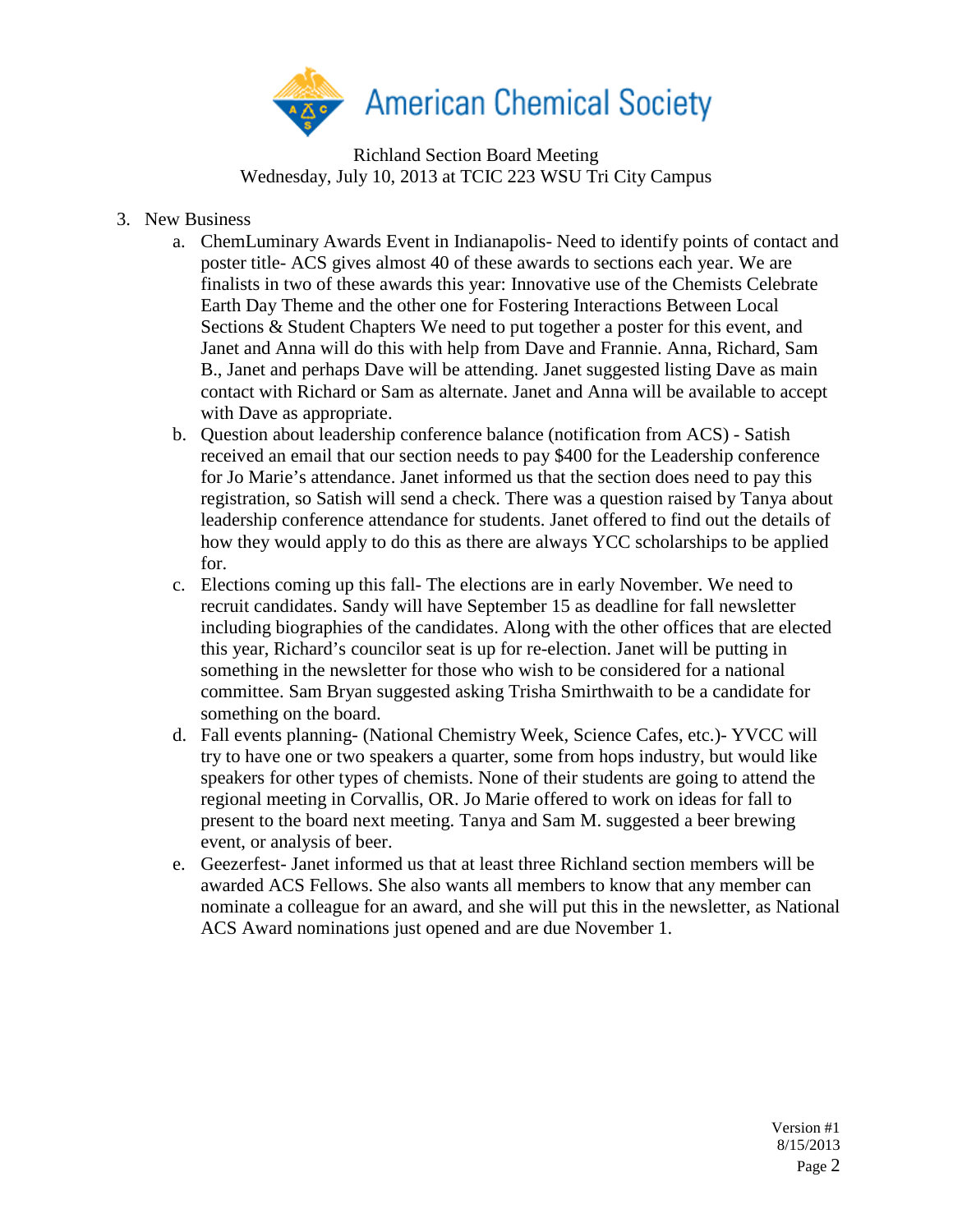

Richland Section Board Meeting Wednesday, July 10, 2013 at TCIC 223 WSU Tri City Campus

- 3. New Business
	- a. ChemLuminary Awards Event in Indianapolis- Need to identify points of contact and poster title- ACS gives almost 40 of these awards to sections each year. We are finalists in two of these awards this year: Innovative use of the Chemists Celebrate Earth Day Theme and the other one for Fostering Interactions Between Local Sections & Student Chapters We need to put together a poster for this event, and Janet and Anna will do this with help from Dave and Frannie. Anna, Richard, Sam B., Janet and perhaps Dave will be attending. Janet suggested listing Dave as main contact with Richard or Sam as alternate. Janet and Anna will be available to accept with Dave as appropriate.
	- b. Question about leadership conference balance (notification from ACS) Satish received an email that our section needs to pay \$400 for the Leadership conference for Jo Marie's attendance. Janet informed us that the section does need to pay this registration, so Satish will send a check. There was a question raised by Tanya about leadership conference attendance for students. Janet offered to find out the details of how they would apply to do this as there are always YCC scholarships to be applied for.
	- c. Elections coming up this fall- The elections are in early November. We need to recruit candidates. Sandy will have September 15 as deadline for fall newsletter including biographies of the candidates. Along with the other offices that are elected this year, Richard's councilor seat is up for re-election. Janet will be putting in something in the newsletter for those who wish to be considered for a national committee. Sam Bryan suggested asking Trisha Smirthwaith to be a candidate for something on the board.
	- d. Fall events planning- (National Chemistry Week, Science Cafes, etc.)- YVCC will try to have one or two speakers a quarter, some from hops industry, but would like speakers for other types of chemists. None of their students are going to attend the regional meeting in Corvallis, OR. Jo Marie offered to work on ideas for fall to present to the board next meeting. Tanya and Sam M. suggested a beer brewing event, or analysis of beer.
	- e. Geezerfest- Janet informed us that at least three Richland section members will be awarded ACS Fellows. She also wants all members to know that any member can nominate a colleague for an award, and she will put this in the newsletter, as National ACS Award nominations just opened and are due November 1.